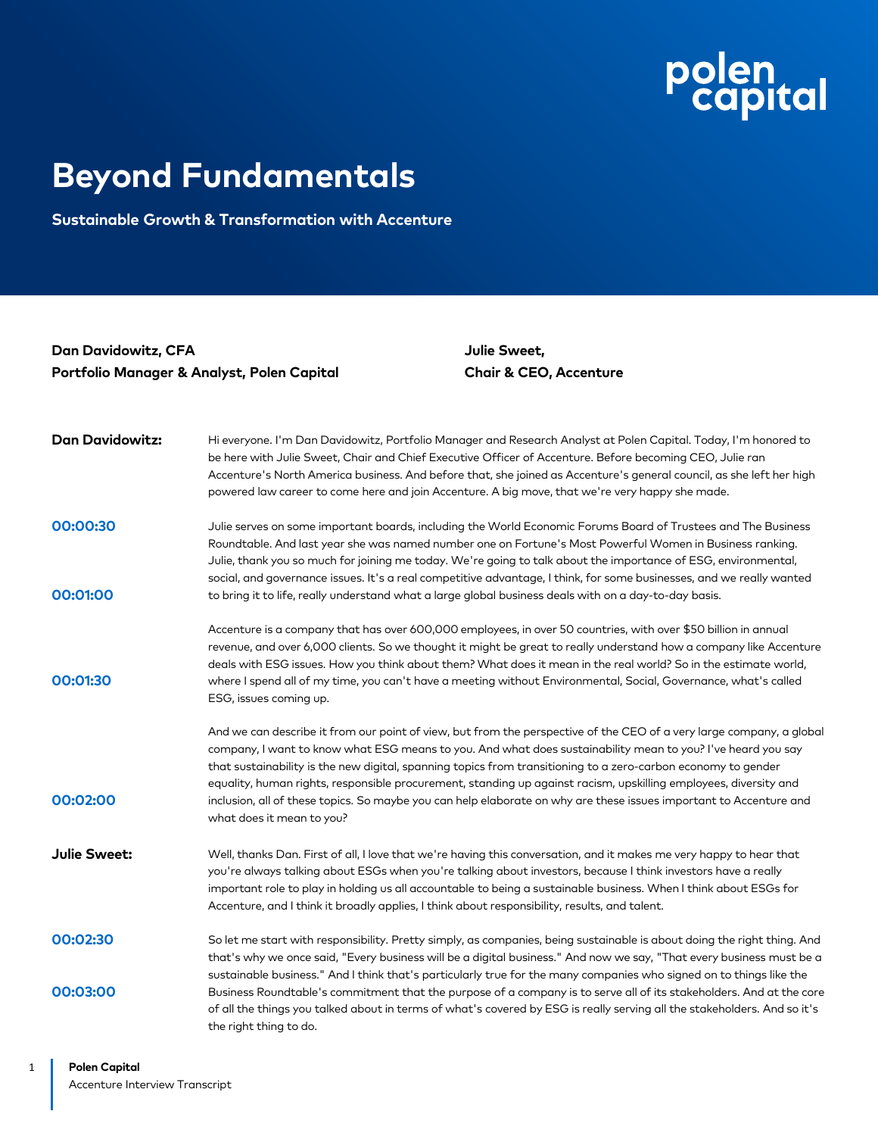## polen<br>Capital

## **Beyond Fundamentals**

**Sustainable Growth & Transformation with Accenture**

**Dan Davidowitz, CFA Portfolio Manager & Analyst, Polen Capital** **Julie Sweet, Chair & CEO, Accenture**

| <b>Dan Davidowitz:</b> | Hi everyone. I'm Dan Davidowitz, Portfolio Manager and Research Analyst at Polen Capital. Today, I'm honored to<br>be here with Julie Sweet, Chair and Chief Executive Officer of Accenture. Before becoming CEO, Julie ran<br>Accenture's North America business. And before that, she joined as Accenture's general council, as she left her high<br>powered law career to come here and join Accenture. A big move, that we're very happy she made.                                                                                                                                                                      |
|------------------------|-----------------------------------------------------------------------------------------------------------------------------------------------------------------------------------------------------------------------------------------------------------------------------------------------------------------------------------------------------------------------------------------------------------------------------------------------------------------------------------------------------------------------------------------------------------------------------------------------------------------------------|
| 00:00:30               | Julie serves on some important boards, including the World Economic Forums Board of Trustees and The Business<br>Roundtable. And last year she was named number one on Fortune's Most Powerful Women in Business ranking.<br>Julie, thank you so much for joining me today. We're going to talk about the importance of ESG, environmental,<br>social, and governance issues. It's a real competitive advantage, I think, for some businesses, and we really wanted                                                                                                                                                         |
| 00:01:00               | to bring it to life, really understand what a large global business deals with on a day-to-day basis.                                                                                                                                                                                                                                                                                                                                                                                                                                                                                                                       |
| 00:01:30               | Accenture is a company that has over 600,000 employees, in over 50 countries, with over \$50 billion in annual<br>revenue, and over 6,000 clients. So we thought it might be great to really understand how a company like Accenture<br>deals with ESG issues. How you think about them? What does it mean in the real world? So in the estimate world,<br>where I spend all of my time, you can't have a meeting without Environmental, Social, Governance, what's called<br>ESG, issues coming up.                                                                                                                        |
| 00:02:00               | And we can describe it from our point of view, but from the perspective of the CEO of a very large company, a global<br>company, I want to know what ESG means to you. And what does sustainability mean to you? I've heard you say<br>that sustainability is the new digital, spanning topics from transitioning to a zero-carbon economy to gender<br>equality, human rights, responsible procurement, standing up against racism, upskilling employees, diversity and<br>inclusion, all of these topics. So maybe you can help elaborate on why are these issues important to Accenture and<br>what does it mean to you? |
| <b>Julie Sweet:</b>    | Well, thanks Dan. First of all, I love that we're having this conversation, and it makes me very happy to hear that<br>you're always talking about ESGs when you're talking about investors, because I think investors have a really<br>important role to play in holding us all accountable to being a sustainable business. When I think about ESGs for<br>Accenture, and I think it broadly applies, I think about responsibility, results, and talent.                                                                                                                                                                  |
| 00:02:30               | So let me start with responsibility. Pretty simply, as companies, being sustainable is about doing the right thing. And<br>that's why we once said, "Every business will be a digital business." And now we say, "That every business must be a<br>sustainable business." And I think that's particularly true for the many companies who signed on to things like the                                                                                                                                                                                                                                                      |
| 00:03:00               | Business Roundtable's commitment that the purpose of a company is to serve all of its stakeholders. And at the core<br>of all the things you talked about in terms of what's covered by ESG is really serving all the stakeholders. And so it's<br>the right thing to do.                                                                                                                                                                                                                                                                                                                                                   |

1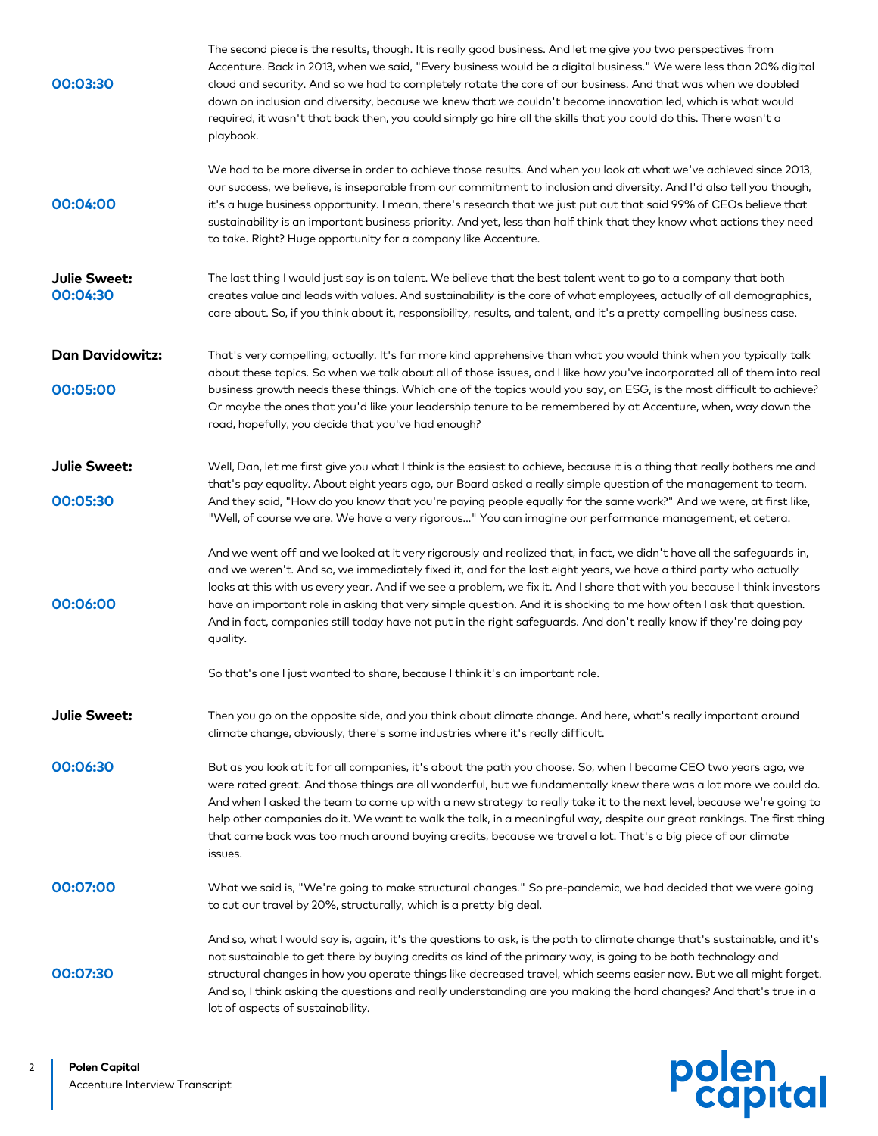| 00:03:30                 | The second piece is the results, though. It is really good business. And let me give you two perspectives from<br>Accenture. Back in 2013, when we said, "Every business would be a digital business." We were less than 20% digital<br>cloud and security. And so we had to completely rotate the core of our business. And that was when we doubled<br>down on inclusion and diversity, because we knew that we couldn't become innovation led, which is what would<br>required, it wasn't that back then, you could simply go hire all the skills that you could do this. There wasn't a<br>playbook.                          |
|--------------------------|-----------------------------------------------------------------------------------------------------------------------------------------------------------------------------------------------------------------------------------------------------------------------------------------------------------------------------------------------------------------------------------------------------------------------------------------------------------------------------------------------------------------------------------------------------------------------------------------------------------------------------------|
| 00:04:00                 | We had to be more diverse in order to achieve those results. And when you look at what we've achieved since 2013,<br>our success, we believe, is inseparable from our commitment to inclusion and diversity. And I'd also tell you though,<br>it's a huge business opportunity. I mean, there's research that we just put out that said 99% of CEOs believe that<br>sustainability is an important business priority. And yet, less than half think that they know what actions they need<br>to take. Right? Huge opportunity for a company like Accenture.                                                                       |
| Julie Sweet:<br>00:04:30 | The last thing I would just say is on talent. We believe that the best talent went to go to a company that both<br>creates value and leads with values. And sustainability is the core of what employees, actually of all demographics,<br>care about. So, if you think about it, responsibility, results, and talent, and it's a pretty compelling business case.                                                                                                                                                                                                                                                                |
| <b>Dan Davidowitz:</b>   | That's very compelling, actually. It's far more kind apprehensive than what you would think when you typically talk<br>about these topics. So when we talk about all of those issues, and I like how you've incorporated all of them into real                                                                                                                                                                                                                                                                                                                                                                                    |
| 00:05:00                 | business growth needs these things. Which one of the topics would you say, on ESG, is the most difficult to achieve?<br>Or maybe the ones that you'd like your leadership tenure to be remembered by at Accenture, when, way down the<br>road, hopefully, you decide that you've had enough?                                                                                                                                                                                                                                                                                                                                      |
| Julie Sweet:             | Well, Dan, let me first give you what I think is the easiest to achieve, because it is a thing that really bothers me and<br>that's pay equality. About eight years ago, our Board asked a really simple question of the management to team.                                                                                                                                                                                                                                                                                                                                                                                      |
| 00:05:30                 | And they said, "How do you know that you're paying people equally for the same work?" And we were, at first like,<br>"Well, of course we are. We have a very rigorous" You can imagine our performance management, et cetera.                                                                                                                                                                                                                                                                                                                                                                                                     |
| 00:06:00                 | And we went off and we looked at it very rigorously and realized that, in fact, we didn't have all the safeguards in,<br>and we weren't. And so, we immediately fixed it, and for the last eight years, we have a third party who actually<br>looks at this with us every year. And if we see a problem, we fix it. And I share that with you because I think investors<br>have an important role in asking that very simple question. And it is shocking to me how often I ask that question.<br>And in fact, companies still today have not put in the right safeguards. And don't really know if they're doing pay<br>quality. |
|                          | So that's one I just wanted to share, because I think it's an important role.                                                                                                                                                                                                                                                                                                                                                                                                                                                                                                                                                     |
| <b>Julie Sweet:</b>      | Then you go on the opposite side, and you think about climate change. And here, what's really important around<br>climate change, obviously, there's some industries where it's really difficult.                                                                                                                                                                                                                                                                                                                                                                                                                                 |
| 00:06:30                 | But as you look at it for all companies, it's about the path you choose. So, when I became CEO two years ago, we<br>were rated great. And those things are all wonderful, but we fundamentally knew there was a lot more we could do.<br>And when I asked the team to come up with a new strategy to really take it to the next level, because we're going to<br>help other companies do it. We want to walk the talk, in a meaningful way, despite our great rankings. The first thing<br>that came back was too much around buying credits, because we travel a lot. That's a big piece of our climate<br>issues.               |
| 00:07:00                 | What we said is, "We're going to make structural changes." So pre-pandemic, we had decided that we were going<br>to cut our travel by 20%, structurally, which is a pretty big deal.                                                                                                                                                                                                                                                                                                                                                                                                                                              |
| 00:07:30                 | And so, what I would say is, again, it's the questions to ask, is the path to climate change that's sustainable, and it's<br>not sustainable to get there by buying credits as kind of the primary way, is going to be both technology and<br>structural changes in how you operate things like decreased travel, which seems easier now. But we all might forget.<br>And so, I think asking the questions and really understanding are you making the hard changes? And that's true in a<br>lot of aspects of sustainability.                                                                                                    |

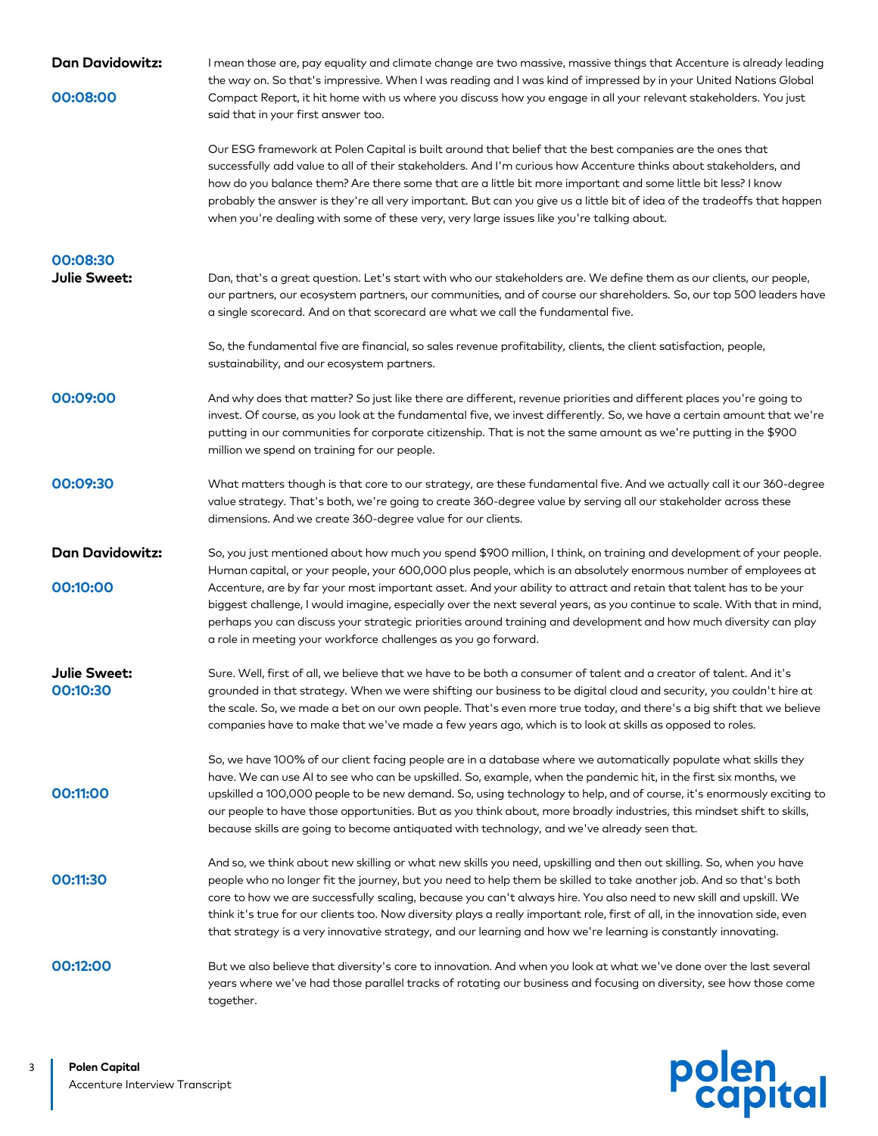| <b>Dan Davidowitz:</b>   | I mean those are, pay equality and climate change are two massive, massive things that Accenture is already leading<br>the way on. So that's impressive. When I was reading and I was kind of impressed by in your United Nations Global                                                                                                                                                                                                                                                                                                                                                                           |
|--------------------------|--------------------------------------------------------------------------------------------------------------------------------------------------------------------------------------------------------------------------------------------------------------------------------------------------------------------------------------------------------------------------------------------------------------------------------------------------------------------------------------------------------------------------------------------------------------------------------------------------------------------|
| 00:08:00                 | Compact Report, it hit home with us where you discuss how you engage in all your relevant stakeholders. You just<br>said that in your first answer too.                                                                                                                                                                                                                                                                                                                                                                                                                                                            |
|                          | Our ESG framework at Polen Capital is built around that belief that the best companies are the ones that<br>successfully add value to all of their stakeholders. And I'm curious how Accenture thinks about stakeholders, and<br>how do you balance them? Are there some that are a little bit more important and some little bit less? I know<br>probably the answer is they're all very important. But can you give us a little bit of idea of the tradeoffs that happen<br>when you're dealing with some of these very, very large issues like you're talking about.                                            |
| 00:08:30                 |                                                                                                                                                                                                                                                                                                                                                                                                                                                                                                                                                                                                                    |
| Julie Sweet:             | Dan, that's a great question. Let's start with who our stakeholders are. We define them as our clients, our people,<br>our partners, our ecosystem partners, our communities, and of course our shareholders. So, our top 500 leaders have<br>a single scorecard. And on that scorecard are what we call the fundamental five.                                                                                                                                                                                                                                                                                     |
|                          | So, the fundamental five are financial, so sales revenue profitability, clients, the client satisfaction, people,<br>sustainability, and our ecosystem partners.                                                                                                                                                                                                                                                                                                                                                                                                                                                   |
| 00:09:00                 | And why does that matter? So just like there are different, revenue priorities and different places you're going to<br>invest. Of course, as you look at the fundamental five, we invest differently. So, we have a certain amount that we're<br>putting in our communities for corporate citizenship. That is not the same amount as we're putting in the \$900<br>million we spend on training for our people.                                                                                                                                                                                                   |
| 00:09:30                 | What matters though is that core to our strategy, are these fundamental five. And we actually call it our 360-degree<br>value strategy. That's both, we're going to create 360-degree value by serving all our stakeholder across these<br>dimensions. And we create 360-degree value for our clients.                                                                                                                                                                                                                                                                                                             |
| <b>Dan Davidowitz:</b>   | So, you just mentioned about how much you spend \$900 million, I think, on training and development of your people.                                                                                                                                                                                                                                                                                                                                                                                                                                                                                                |
| 00:10:00                 | Human capital, or your people, your 600,000 plus people, which is an absolutely enormous number of employees at<br>Accenture, are by far your most important asset. And your ability to attract and retain that talent has to be your<br>biggest challenge, I would imagine, especially over the next several years, as you continue to scale. With that in mind,<br>perhaps you can discuss your strategic priorities around training and development and how much diversity can play<br>a role in meeting your workforce challenges as you go forward.                                                           |
| Julie Sweet:<br>00:10:30 | Sure. Well, first of all, we believe that we have to be both a consumer of talent and a creator of talent. And it's<br>grounded in that strategy. When we were shifting our business to be digital cloud and security, you couldn't hire at<br>the scale. So, we made a bet on our own people. That's even more true today, and there's a big shift that we believe<br>companies have to make that we've made a few years ago, which is to look at skills as opposed to roles.                                                                                                                                     |
| 00:11:00                 | So, we have 100% of our client facing people are in a database where we automatically populate what skills they<br>have. We can use AI to see who can be upskilled. So, example, when the pandemic hit, in the first six months, we<br>upskilled a 100,000 people to be new demand. So, using technology to help, and of course, it's enormously exciting to<br>our people to have those opportunities. But as you think about, more broadly industries, this mindset shift to skills,<br>because skills are going to become antiquated with technology, and we've already seen that.                              |
| 00:11:30                 | And so, we think about new skilling or what new skills you need, upskilling and then out skilling. So, when you have<br>people who no longer fit the journey, but you need to help them be skilled to take another job. And so that's both<br>core to how we are successfully scaling, because you can't always hire. You also need to new skill and upskill. We<br>think it's true for our clients too. Now diversity plays a really important role, first of all, in the innovation side, even<br>that strategy is a very innovative strategy, and our learning and how we're learning is constantly innovating. |
| 00:12:00                 | But we also believe that diversity's core to innovation. And when you look at what we've done over the last several<br>years where we've had those parallel tracks of rotating our business and focusing on diversity, see how those come<br>together.                                                                                                                                                                                                                                                                                                                                                             |

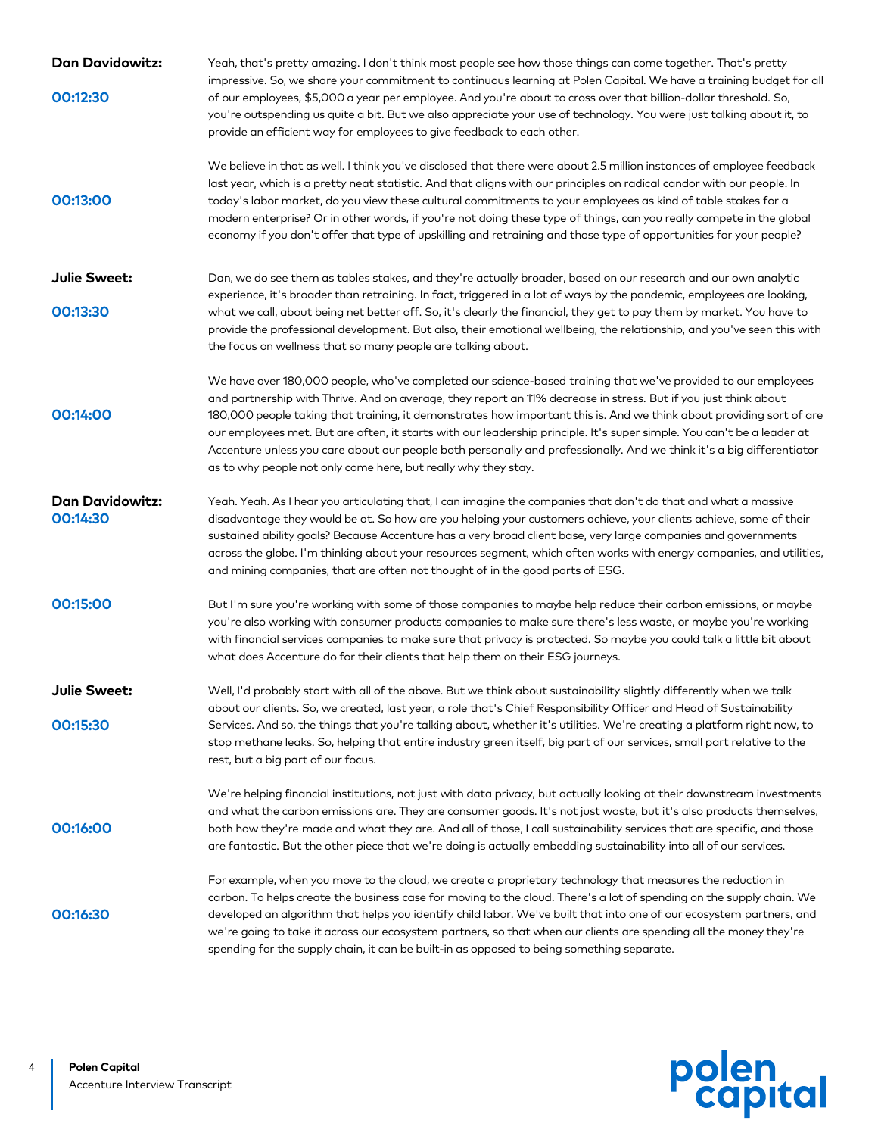| <b>Dan Davidowitz:</b>             | Yeah, that's pretty amazing. I don't think most people see how those things can come together. That's pretty<br>impressive. So, we share your commitment to continuous learning at Polen Capital. We have a training budget for all                                                                                                                                                                                                                                                                                                                                                                                                                                           |
|------------------------------------|-------------------------------------------------------------------------------------------------------------------------------------------------------------------------------------------------------------------------------------------------------------------------------------------------------------------------------------------------------------------------------------------------------------------------------------------------------------------------------------------------------------------------------------------------------------------------------------------------------------------------------------------------------------------------------|
| 00:12:30                           | of our employees, \$5,000 a year per employee. And you're about to cross over that billion-dollar threshold. So,<br>you're outspending us quite a bit. But we also appreciate your use of technology. You were just talking about it, to<br>provide an efficient way for employees to give feedback to each other.                                                                                                                                                                                                                                                                                                                                                            |
| 00:13:00                           | We believe in that as well. I think you've disclosed that there were about 2.5 million instances of employee feedback<br>last year, which is a pretty neat statistic. And that aligns with our principles on radical candor with our people. In<br>today's labor market, do you view these cultural commitments to your employees as kind of table stakes for a<br>modern enterprise? Or in other words, if you're not doing these type of things, can you really compete in the global<br>economy if you don't offer that type of upskilling and retraining and those type of opportunities for your people?                                                                 |
| Julie Sweet:                       | Dan, we do see them as tables stakes, and they're actually broader, based on our research and our own analytic                                                                                                                                                                                                                                                                                                                                                                                                                                                                                                                                                                |
| 00:13:30                           | experience, it's broader than retraining. In fact, triggered in a lot of ways by the pandemic, employees are looking,<br>what we call, about being net better off. So, it's clearly the financial, they get to pay them by market. You have to<br>provide the professional development. But also, their emotional wellbeing, the relationship, and you've seen this with<br>the focus on wellness that so many people are talking about.                                                                                                                                                                                                                                      |
| 00:14:00                           | We have over 180,000 people, who've completed our science-based training that we've provided to our employees<br>and partnership with Thrive. And on average, they report an 11% decrease in stress. But if you just think about<br>180,000 people taking that training, it demonstrates how important this is. And we think about providing sort of are<br>our employees met. But are often, it starts with our leadership principle. It's super simple. You can't be a leader at<br>Accenture unless you care about our people both personally and professionally. And we think it's a big differentiator<br>as to why people not only come here, but really why they stay. |
| <b>Dan Davidowitz:</b><br>00:14:30 | Yeah. Yeah. As I hear you articulating that, I can imagine the companies that don't do that and what a massive<br>disadvantage they would be at. So how are you helping your customers achieve, your clients achieve, some of their<br>sustained ability goals? Because Accenture has a very broad client base, very large companies and governments<br>across the globe. I'm thinking about your resources segment, which often works with energy companies, and utilities,<br>and mining companies, that are often not thought of in the good parts of ESG.                                                                                                                 |
| 00:15:00                           | But I'm sure you're working with some of those companies to maybe help reduce their carbon emissions, or maybe<br>you're also working with consumer products companies to make sure there's less waste, or maybe you're working<br>with financial services companies to make sure that privacy is protected. So maybe you could talk a little bit about<br>what does Accenture do for their clients that help them on their ESG journeys.                                                                                                                                                                                                                                     |
| Julie Sweet:                       | Well, I'd probably start with all of the above. But we think about sustainability slightly differently when we talk<br>about our clients. So, we created, last year, a role that's Chief Responsibility Officer and Head of Sustainability                                                                                                                                                                                                                                                                                                                                                                                                                                    |
| 00:15:30                           | Services. And so, the things that you're talking about, whether it's utilities. We're creating a platform right now, to<br>stop methane leaks. So, helping that entire industry green itself, big part of our services, small part relative to the<br>rest, but a big part of our focus.                                                                                                                                                                                                                                                                                                                                                                                      |
| 00:16:00                           | We're helping financial institutions, not just with data privacy, but actually looking at their downstream investments<br>and what the carbon emissions are. They are consumer goods. It's not just waste, but it's also products themselves,<br>both how they're made and what they are. And all of those, I call sustainability services that are specific, and those<br>are fantastic. But the other piece that we're doing is actually embedding sustainability into all of our services.                                                                                                                                                                                 |
| 00:16:30                           | For example, when you move to the cloud, we create a proprietary technology that measures the reduction in<br>carbon. To helps create the business case for moving to the cloud. There's a lot of spending on the supply chain. We<br>developed an algorithm that helps you identify child labor. We've built that into one of our ecosystem partners, and<br>we're going to take it across our ecosystem partners, so that when our clients are spending all the money they're<br>spending for the supply chain, it can be built-in as opposed to being something separate.                                                                                                  |

polen<br>capital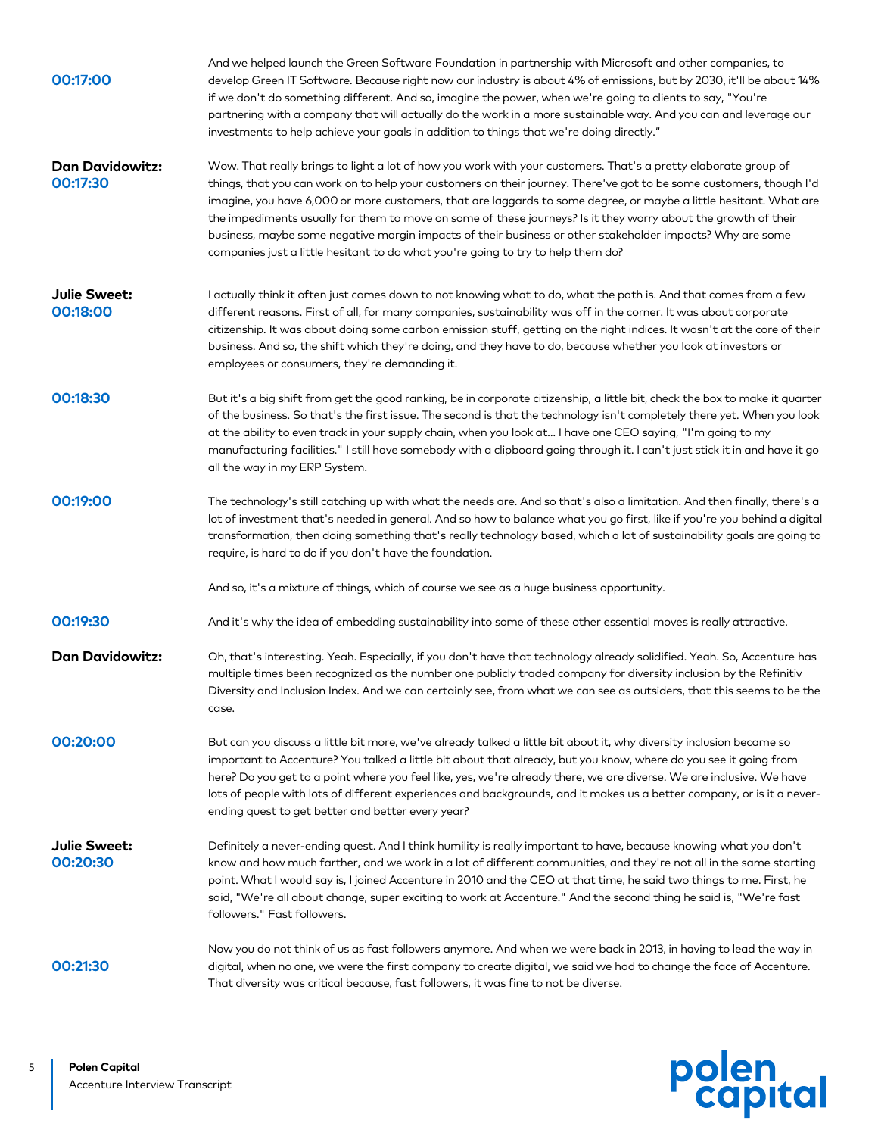| 00:17:00                           | And we helped launch the Green Software Foundation in partnership with Microsoft and other companies, to<br>develop Green IT Software. Because right now our industry is about 4% of emissions, but by 2030, it'll be about 14%<br>if we don't do something different. And so, imagine the power, when we're going to clients to say, "You're<br>partnering with a company that will actually do the work in a more sustainable way. And you can and leverage our<br>investments to help achieve your goals in addition to things that we're doing directly."                                                                                                                 |
|------------------------------------|-------------------------------------------------------------------------------------------------------------------------------------------------------------------------------------------------------------------------------------------------------------------------------------------------------------------------------------------------------------------------------------------------------------------------------------------------------------------------------------------------------------------------------------------------------------------------------------------------------------------------------------------------------------------------------|
| <b>Dan Davidowitz:</b><br>00:17:30 | Wow. That really brings to light a lot of how you work with your customers. That's a pretty elaborate group of<br>things, that you can work on to help your customers on their journey. There've got to be some customers, though I'd<br>imagine, you have 6,000 or more customers, that are laggards to some degree, or maybe a little hesitant. What are<br>the impediments usually for them to move on some of these journeys? Is it they worry about the growth of their<br>business, maybe some negative margin impacts of their business or other stakeholder impacts? Why are some<br>companies just a little hesitant to do what you're going to try to help them do? |
| Julie Sweet:<br>00:18:00           | I actually think it often just comes down to not knowing what to do, what the path is. And that comes from a few<br>different reasons. First of all, for many companies, sustainability was off in the corner. It was about corporate<br>citizenship. It was about doing some carbon emission stuff, getting on the right indices. It wasn't at the core of their<br>business. And so, the shift which they're doing, and they have to do, because whether you look at investors or<br>employees or consumers, they're demanding it.                                                                                                                                          |
| 00:18:30                           | But it's a big shift from get the good ranking, be in corporate citizenship, a little bit, check the box to make it quarter<br>of the business. So that's the first issue. The second is that the technology isn't completely there yet. When you look<br>at the ability to even track in your supply chain, when you look at I have one CEO saying, "I'm going to my<br>manufacturing facilities." I still have somebody with a clipboard going through it. I can't just stick it in and have it go<br>all the way in my ERP System.                                                                                                                                         |
| 00:19:00                           | The technology's still catching up with what the needs are. And so that's also a limitation. And then finally, there's a<br>lot of investment that's needed in general. And so how to balance what you go first, like if you're you behind a digital<br>transformation, then doing something that's really technology based, which a lot of sustainability goals are going to<br>require, is hard to do if you don't have the foundation.                                                                                                                                                                                                                                     |
|                                    | And so, it's a mixture of things, which of course we see as a huge business opportunity.                                                                                                                                                                                                                                                                                                                                                                                                                                                                                                                                                                                      |
| 00:19:30                           | And it's why the idea of embedding sustainability into some of these other essential moves is really attractive.                                                                                                                                                                                                                                                                                                                                                                                                                                                                                                                                                              |
| <b>Dan Davidowitz:</b>             | Oh, that's interesting. Yeah. Especially, if you don't have that technology already solidified. Yeah. So, Accenture has<br>multiple times been recognized as the number one publicly traded company for diversity inclusion by the Refinitiv<br>Diversity and Inclusion Index. And we can certainly see, from what we can see as outsiders, that this seems to be the<br>case.                                                                                                                                                                                                                                                                                                |
| 00:20:00                           | But can you discuss a little bit more, we've already talked a little bit about it, why diversity inclusion became so<br>important to Accenture? You talked a little bit about that already, but you know, where do you see it going from<br>here? Do you get to a point where you feel like, yes, we're already there, we are diverse. We are inclusive. We have<br>lots of people with lots of different experiences and backgrounds, and it makes us a better company, or is it a never-<br>ending quest to get better and better every year?                                                                                                                               |
| Julie Sweet:<br>00:20:30           | Definitely a never-ending quest. And I think humility is really important to have, because knowing what you don't<br>know and how much farther, and we work in a lot of different communities, and they're not all in the same starting<br>point. What I would say is, I joined Accenture in 2010 and the CEO at that time, he said two things to me. First, he<br>said, "We're all about change, super exciting to work at Accenture." And the second thing he said is, "We're fast<br>followers." Fast followers.                                                                                                                                                           |
| 00:21:30                           | Now you do not think of us as fast followers anymore. And when we were back in 2013, in having to lead the way in<br>digital, when no one, we were the first company to create digital, we said we had to change the face of Accenture.<br>That diversity was critical because, fast followers, it was fine to not be diverse.                                                                                                                                                                                                                                                                                                                                                |

polen<br>capital

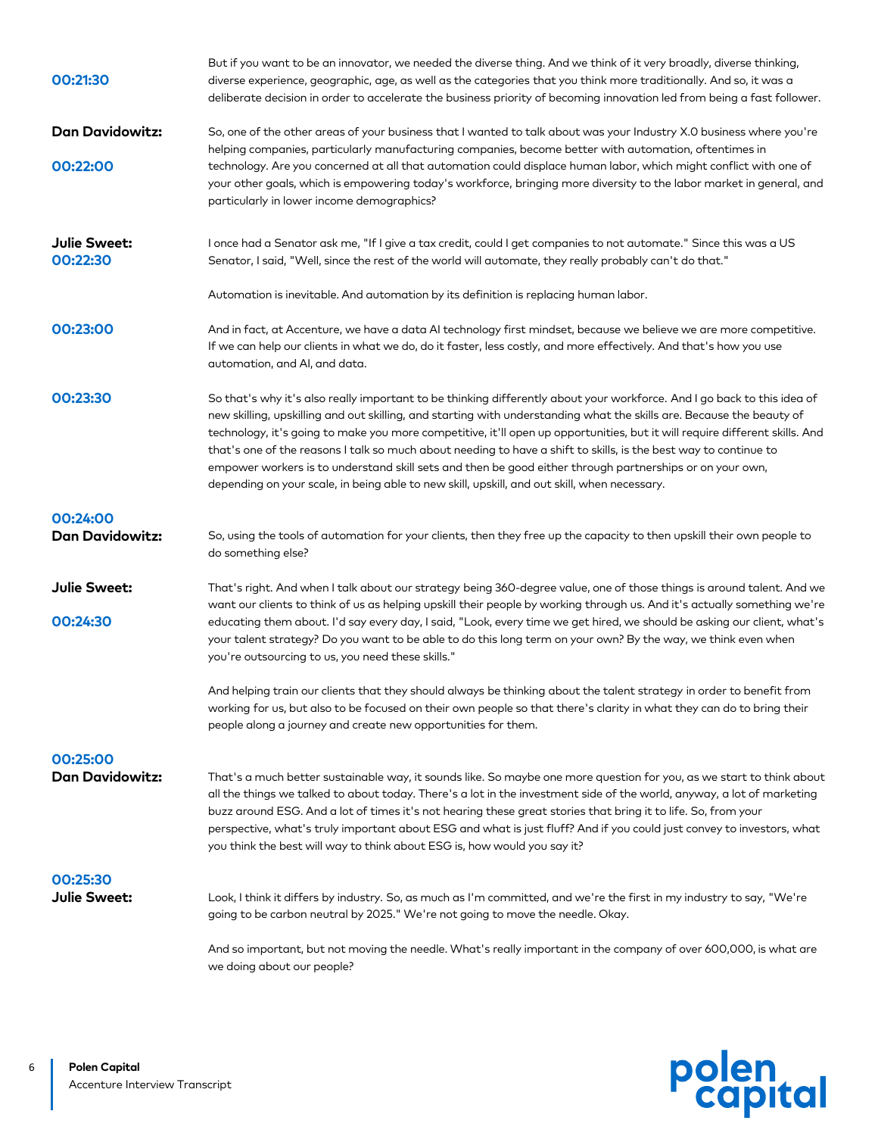| 00:21:30                           | But if you want to be an innovator, we needed the diverse thing. And we think of it very broadly, diverse thinking,<br>diverse experience, geographic, age, as well as the categories that you think more traditionally. And so, it was a<br>deliberate decision in order to accelerate the business priority of becoming innovation led from being a fast follower.                                                                                                                                                                                                                                                                                                                                            |
|------------------------------------|-----------------------------------------------------------------------------------------------------------------------------------------------------------------------------------------------------------------------------------------------------------------------------------------------------------------------------------------------------------------------------------------------------------------------------------------------------------------------------------------------------------------------------------------------------------------------------------------------------------------------------------------------------------------------------------------------------------------|
| <b>Dan Davidowitz:</b>             | So, one of the other areas of your business that I wanted to talk about was your Industry X.0 business where you're<br>helping companies, particularly manufacturing companies, become better with automation, oftentimes in                                                                                                                                                                                                                                                                                                                                                                                                                                                                                    |
| 00:22:00                           | technology. Are you concerned at all that automation could displace human labor, which might conflict with one of<br>your other goals, which is empowering today's workforce, bringing more diversity to the labor market in general, and<br>particularly in lower income demographics?                                                                                                                                                                                                                                                                                                                                                                                                                         |
| Julie Sweet:<br>00:22:30           | I once had a Senator ask me, "If I give a tax credit, could I get companies to not automate." Since this was a US<br>Senator, I said, "Well, since the rest of the world will automate, they really probably can't do that."                                                                                                                                                                                                                                                                                                                                                                                                                                                                                    |
|                                    | Automation is inevitable. And automation by its definition is replacing human labor.                                                                                                                                                                                                                                                                                                                                                                                                                                                                                                                                                                                                                            |
| 00:23:00                           | And in fact, at Accenture, we have a data AI technology first mindset, because we believe we are more competitive.<br>If we can help our clients in what we do, do it faster, less costly, and more effectively. And that's how you use<br>automation, and AI, and data.                                                                                                                                                                                                                                                                                                                                                                                                                                        |
| 00:23:30                           | So that's why it's also really important to be thinking differently about your workforce. And I go back to this idea of<br>new skilling, upskilling and out skilling, and starting with understanding what the skills are. Because the beauty of<br>technology, it's going to make you more competitive, it'll open up opportunities, but it will require different skills. And<br>that's one of the reasons I talk so much about needing to have a shift to skills, is the best way to continue to<br>empower workers is to understand skill sets and then be good either through partnerships or on your own,<br>depending on your scale, in being able to new skill, upskill, and out skill, when necessary. |
| 00:24:00<br><b>Dan Davidowitz:</b> | So, using the tools of automation for your clients, then they free up the capacity to then upskill their own people to<br>do something else?                                                                                                                                                                                                                                                                                                                                                                                                                                                                                                                                                                    |
| Julie Sweet:                       | That's right. And when I talk about our strategy being 360-degree value, one of those things is around talent. And we<br>want our clients to think of us as helping upskill their people by working through us. And it's actually something we're                                                                                                                                                                                                                                                                                                                                                                                                                                                               |
| 00:24:30                           | educating them about. I'd say every day, I said, "Look, every time we get hired, we should be asking our client, what's<br>your talent strategy? Do you want to be able to do this long term on your own? By the way, we think even when<br>you're outsourcing to us, you need these skills."                                                                                                                                                                                                                                                                                                                                                                                                                   |
|                                    | And helping train our clients that they should always be thinking about the talent strategy in order to benefit from<br>working for us, but also to be focused on their own people so that there's clarity in what they can do to bring their<br>people along a journey and create new opportunities for them.                                                                                                                                                                                                                                                                                                                                                                                                  |
| 00:25:00                           |                                                                                                                                                                                                                                                                                                                                                                                                                                                                                                                                                                                                                                                                                                                 |
| <b>Dan Davidowitz:</b>             | That's a much better sustainable way, it sounds like. So maybe one more question for you, as we start to think about<br>all the things we talked to about today. There's a lot in the investment side of the world, anyway, a lot of marketing<br>buzz around ESG. And a lot of times it's not hearing these great stories that bring it to life. So, from your<br>perspective, what's truly important about ESG and what is just fluff? And if you could just convey to investors, what<br>you think the best will way to think about ESG is, how would you say it?                                                                                                                                            |
| 00:25:30                           |                                                                                                                                                                                                                                                                                                                                                                                                                                                                                                                                                                                                                                                                                                                 |
| Julie Sweet:                       | Look, I think it differs by industry. So, as much as I'm committed, and we're the first in my industry to say, "We're<br>going to be carbon neutral by 2025." We're not going to move the needle. Okay.                                                                                                                                                                                                                                                                                                                                                                                                                                                                                                         |
|                                    | And so important, but not moving the needle. What's really important in the company of over 600,000, is what are<br>we doing about our people?                                                                                                                                                                                                                                                                                                                                                                                                                                                                                                                                                                  |